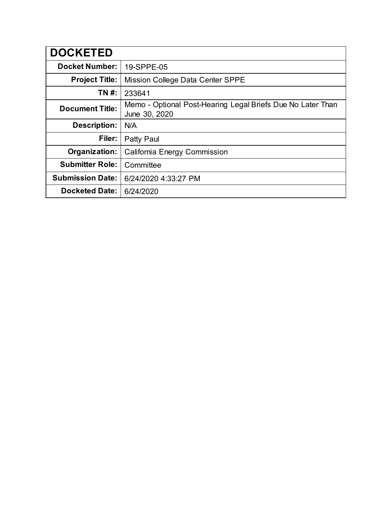| <b>DOCKETED</b>         |                                                                              |
|-------------------------|------------------------------------------------------------------------------|
| <b>Docket Number:</b>   | 19-SPPE-05                                                                   |
| <b>Project Title:</b>   | Mission College Data Center SPPE                                             |
| TN #:                   | 233641                                                                       |
| <b>Document Title:</b>  | Memo - Optional Post-Hearing Legal Briefs Due No Later Than<br>June 30, 2020 |
| <b>Description:</b>     | N/A                                                                          |
| Filer:                  | Patty Paul                                                                   |
| Organization:           | <b>California Energy Commission</b>                                          |
| <b>Submitter Role:</b>  | Committee                                                                    |
| <b>Submission Date:</b> | 6/24/2020 4:33:27 PM                                                         |
| <b>Docketed Date:</b>   | 6/24/2020                                                                    |